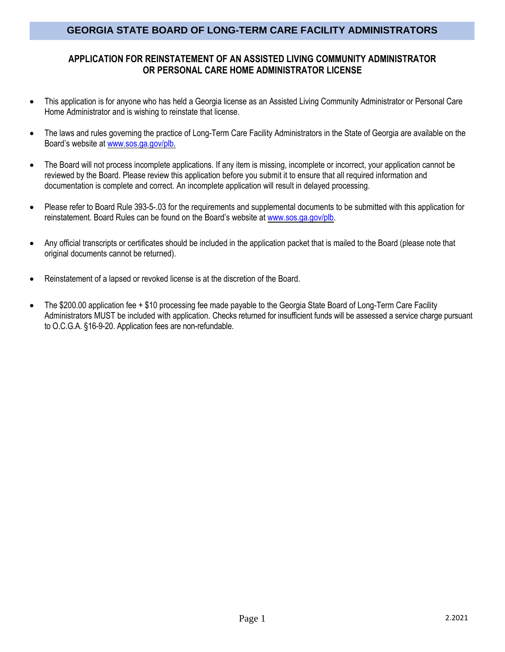### **APPLICATION FOR REINSTATEMENT OF AN ASSISTED LIVING COMMUNITY ADMINISTRATOR OR PERSONAL CARE HOME ADMINISTRATOR LICENSE**

- This application is for anyone who has held a Georgia license as an Assisted Living Community Administrator or Personal Care Home Administrator and is wishing to reinstate that license.
- The laws and rules governing the practice of Long-Term Care Facility Administrators in the State of Georgia are available on the Board's website at [www.sos.ga.gov/plb.](http://www.sos.ga.gov/plb)
- The Board will not process incomplete applications. If any item is missing, incomplete or incorrect, your application cannot be reviewed by the Board. Please review this application before you submit it to ensure that all required information and documentation is complete and correct. An incomplete application will result in delayed processing.
- Please refer to Board Rule 393-5-.03 for the requirements and supplemental documents to be submitted with this application for reinstatement. Board Rules can be found on the Board's website at [www.sos.ga.gov/plb.](http://www.sos.ga.gov/plb/nursinghome)
- Any official transcripts or certificates should be included in the application packet that is mailed to the Board (please note that original documents cannot be returned).
- Reinstatement of a lapsed or revoked license is at the discretion of the Board.
- The \$200.00 application fee + \$10 processing fee made payable to the Georgia State Board of Long-Term Care Facility Administrators MUST be included with application. Checks returned for insufficient funds will be assessed a service charge pursuant to O.C.G.A. §16-9-20. Application fees are non-refundable.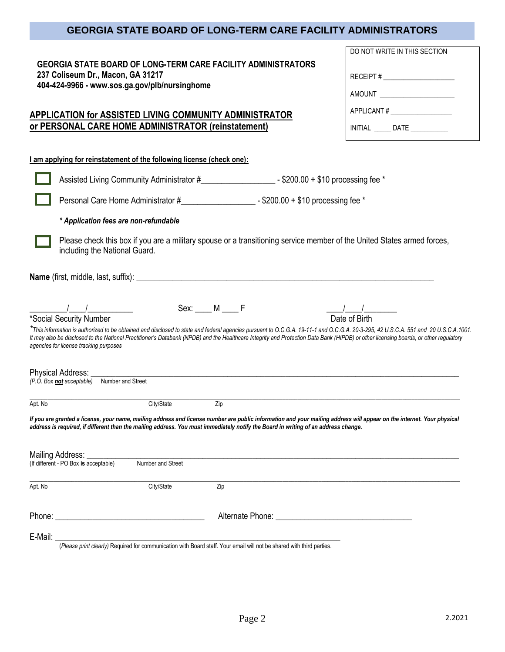**GEORGIA STATE BOARD OF LONG-TERM CARE FACILITY ADMINISTRATORS**

**237 Coliseum Dr., Macon, GA 31217**

DO NOT WRITE IN THIS SECTION

RECEIPT #

| 404-424-9966 - www.sos.ga.gov/plb/nursinghome                                                                                                                                                                                                                                                                                                                                                                          |                                                                                                                                                                                                                                     |
|------------------------------------------------------------------------------------------------------------------------------------------------------------------------------------------------------------------------------------------------------------------------------------------------------------------------------------------------------------------------------------------------------------------------|-------------------------------------------------------------------------------------------------------------------------------------------------------------------------------------------------------------------------------------|
| APPLICATION for ASSISTED LIVING COMMUNITY ADMINISTRATOR                                                                                                                                                                                                                                                                                                                                                                | APPLICANT#                                                                                                                                                                                                                          |
| or PERSONAL CARE HOME ADMINISTRATOR (reinstatement)                                                                                                                                                                                                                                                                                                                                                                    | INITIAL DATE                                                                                                                                                                                                                        |
|                                                                                                                                                                                                                                                                                                                                                                                                                        |                                                                                                                                                                                                                                     |
| I am applying for reinstatement of the following license (check one):                                                                                                                                                                                                                                                                                                                                                  |                                                                                                                                                                                                                                     |
|                                                                                                                                                                                                                                                                                                                                                                                                                        |                                                                                                                                                                                                                                     |
|                                                                                                                                                                                                                                                                                                                                                                                                                        |                                                                                                                                                                                                                                     |
| * Application fees are non-refundable                                                                                                                                                                                                                                                                                                                                                                                  |                                                                                                                                                                                                                                     |
| Please check this box if you are a military spouse or a transitioning service member of the United States armed forces,<br>including the National Guard.                                                                                                                                                                                                                                                               |                                                                                                                                                                                                                                     |
|                                                                                                                                                                                                                                                                                                                                                                                                                        |                                                                                                                                                                                                                                     |
| $Sex:$ $M \_ F$<br>$\frac{1}{2}$ $\frac{1}{2}$ $\frac{1}{2}$ $\frac{1}{2}$ $\frac{1}{2}$ $\frac{1}{2}$ $\frac{1}{2}$ $\frac{1}{2}$ $\frac{1}{2}$ $\frac{1}{2}$ $\frac{1}{2}$ $\frac{1}{2}$ $\frac{1}{2}$ $\frac{1}{2}$ $\frac{1}{2}$ $\frac{1}{2}$ $\frac{1}{2}$ $\frac{1}{2}$ $\frac{1}{2}$ $\frac{1}{2}$ $\frac{1}{2}$ $\frac{1}{2}$                                                                                 |                                                                                                                                                                                                                                     |
| *Social Security Number                                                                                                                                                                                                                                                                                                                                                                                                | Date of Birth                                                                                                                                                                                                                       |
| *This information is authorized to be obtained and disclosed to state and federal agencies pursuant to O.C.G.A. 19-11-1 and O.C.G.A. 20-3-295, 42 U.S.C.A. 551 and 20 U.S.C.A. 1001.<br>It may also be disclosed to the National Practitioner's Databank (NPDB) and the Healthcare Integrity and Protection Data Bank (HIPDB) or other licensing boards, or other regulatory<br>agencies for license tracking purposes |                                                                                                                                                                                                                                     |
| Physical Address: _                                                                                                                                                                                                                                                                                                                                                                                                    |                                                                                                                                                                                                                                     |
| (P.O. Box not acceptable) Number and Street                                                                                                                                                                                                                                                                                                                                                                            |                                                                                                                                                                                                                                     |
| City/State<br>Zip<br>Apt. No                                                                                                                                                                                                                                                                                                                                                                                           |                                                                                                                                                                                                                                     |
| If you are granted a license, your name, mailing address and license number are public information and your mailing address will appear on the internet. Your physical<br>address is required, if different than the mailing address. You must immediately notify the Board in writing of an address change.                                                                                                           |                                                                                                                                                                                                                                     |
| Mailing Address:                                                                                                                                                                                                                                                                                                                                                                                                       |                                                                                                                                                                                                                                     |
| (If different - PO Box is acceptable)<br>Number and Street                                                                                                                                                                                                                                                                                                                                                             |                                                                                                                                                                                                                                     |
| City/State<br>Apt. No<br>Zip                                                                                                                                                                                                                                                                                                                                                                                           |                                                                                                                                                                                                                                     |
|                                                                                                                                                                                                                                                                                                                                                                                                                        | Alternate Phone: <u>Alternative</u> Change and The Change of The Change of The Change of The Change of The Change of The Change of The Change of The Change of The Change of The Change of The Change of The Change of The Change o |

E-Mail: \_\_\_\_\_\_\_\_\_\_\_\_\_\_\_\_\_\_\_\_\_\_\_\_\_\_\_\_\_\_\_\_\_\_\_\_\_\_\_\_\_\_\_\_\_\_\_\_\_\_\_\_\_\_\_\_\_\_\_\_\_\_\_\_\_\_\_\_\_ (*Please print clearly)* Required for communication with Board staff. Your email will not be shared with third parties.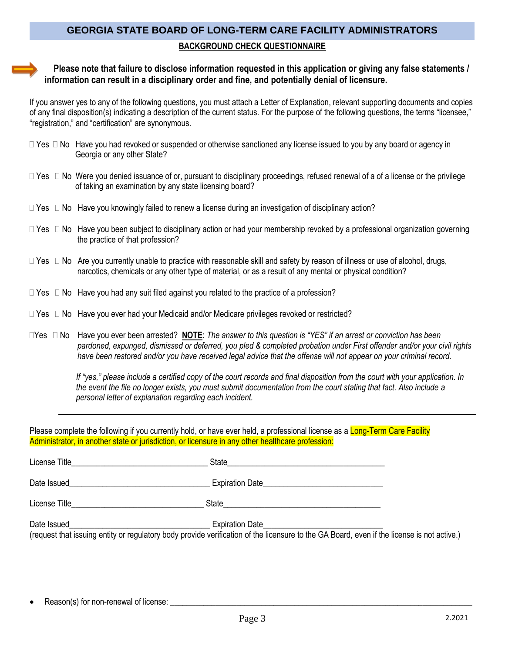# **GEORGIA STATE BOARD OF LONG-TERM CARE FACILITY ADMINISTRATORS BACKGROUND CHECK QUESTIONNAIRE**

#### **Please note that failure to disclose information requested in this application or giving any false statements / information can result in a disciplinary order and fine, and potentially denial of licensure.**

If you answer yes to any of the following questions, you must attach a Letter of Explanation, relevant supporting documents and copies of any final disposition(s) indicating a description of the current status. For the purpose of the following questions, the terms "licensee," "registration," and "certification" are synonymous.

- $\Box$  Yes  $\Box$  No Have you had revoked or suspended or otherwise sanctioned any license issued to you by any board or agency in Georgia or any other State?
- $\Box$  Yes  $\Box$  No Were you denied issuance of or, pursuant to disciplinary proceedings, refused renewal of a of a license or the privilege of taking an examination by any state licensing board?
- $\Box$  Yes  $\Box$  No Have you knowingly failed to renew a license during an investigation of disciplinary action?
- $\Box$  Yes  $\Box$  No Have you been subject to disciplinary action or had your membership revoked by a professional organization governing the practice of that profession?
- $\Box$  Yes  $\Box$  No Are you currently unable to practice with reasonable skill and safety by reason of illness or use of alcohol, drugs, narcotics, chemicals or any other type of material, or as a result of any mental or physical condition?
- $\Box$  Yes  $\Box$  No Have you had any suit filed against you related to the practice of a profession?
- $\Box$  Yes  $\Box$  No Have you ever had your Medicaid and/or Medicare privileges revoked or restricted?
- Yes No Have you ever been arrested? **NOTE**: *The answer to this question is "YES" if an arrest or conviction has been pardoned, expunged, dismissed or deferred, you pled & completed probation under First offender and/or your civil rights have been restored and/or you have received legal advice that the offense will not appear on your criminal record.*

 *If "yes," please include a certified copy of the court records and final disposition from the court with your application. In the event the file no longer exists, you must submit documentation from the court stating that fact. Also include a personal letter of explanation regarding each incident.*

Please complete the following if you currently hold, or have ever held, a professional license as a Long-Term Care Facility Administrator, in another state or jurisdiction, or licensure in any other healthcare profession:

| License Title | State                                                                                                                                                                |  |
|---------------|----------------------------------------------------------------------------------------------------------------------------------------------------------------------|--|
| Date Issued   | <b>Expiration Date</b>                                                                                                                                               |  |
| License Title | State                                                                                                                                                                |  |
| Date Issued   | <b>Expiration Date</b><br>(request that issuing entity or regulatory body provide verification of the licensure to the GA Board, even if the license is not active.) |  |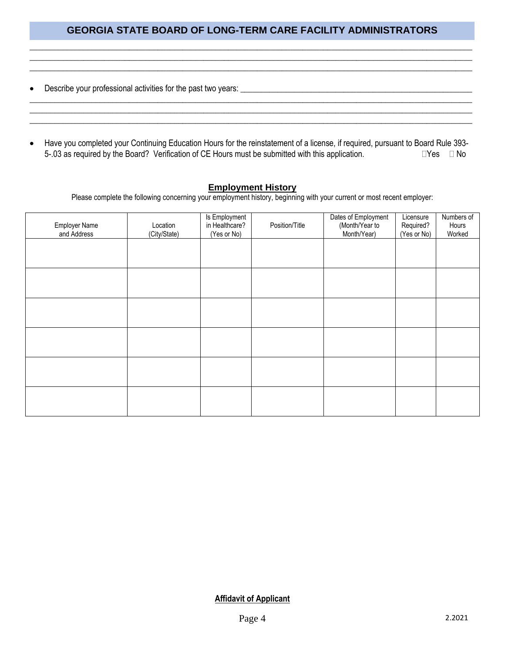\_\_\_\_\_\_\_\_\_\_\_\_\_\_\_\_\_\_\_\_\_\_\_\_\_\_\_\_\_\_\_\_\_\_\_\_\_\_\_\_\_\_\_\_\_\_\_\_\_\_\_\_\_\_\_\_\_\_\_\_\_\_\_\_\_\_\_\_\_\_\_\_\_\_\_\_\_\_\_\_\_\_\_\_\_\_\_\_\_\_\_\_\_\_\_\_\_\_\_\_\_\_\_\_\_\_\_ \_\_\_\_\_\_\_\_\_\_\_\_\_\_\_\_\_\_\_\_\_\_\_\_\_\_\_\_\_\_\_\_\_\_\_\_\_\_\_\_\_\_\_\_\_\_\_\_\_\_\_\_\_\_\_\_\_\_\_\_\_\_\_\_\_\_\_\_\_\_\_\_\_\_\_\_\_\_\_\_\_\_\_\_\_\_\_\_\_\_\_\_\_\_\_\_\_\_\_\_\_\_\_\_\_\_\_ \_\_\_\_\_\_\_\_\_\_\_\_\_\_\_\_\_\_\_\_\_\_\_\_\_\_\_\_\_\_\_\_\_\_\_\_\_\_\_\_\_\_\_\_\_\_\_\_\_\_\_\_\_\_\_\_\_\_\_\_\_\_\_\_\_\_\_\_\_\_\_\_\_\_\_\_\_\_\_\_\_\_\_\_\_\_\_\_\_\_\_\_\_\_\_\_\_\_\_\_\_\_\_\_\_\_\_

- Describe your professional activities for the past two years: \_\_\_\_\_\_\_\_\_\_\_\_\_\_\_\_\_\_\_\_\_\_\_\_\_\_\_\_\_\_\_\_\_\_\_\_\_\_\_\_\_\_\_\_\_\_\_\_\_\_\_\_\_\_\_\_
- Have you completed your Continuing Education Hours for the reinstatement of a license, if required, pursuant to Board Rule 393- 5-.03 as required by the Board? Verification of CE Hours must be submitted with this application.  $\square Y$ es  $\square$  No

\_\_\_\_\_\_\_\_\_\_\_\_\_\_\_\_\_\_\_\_\_\_\_\_\_\_\_\_\_\_\_\_\_\_\_\_\_\_\_\_\_\_\_\_\_\_\_\_\_\_\_\_\_\_\_\_\_\_\_\_\_\_\_\_\_\_\_\_\_\_\_\_\_\_\_\_\_\_\_\_\_\_\_\_\_\_\_\_\_\_\_\_\_\_\_\_\_\_\_\_\_\_\_\_\_\_\_ \_\_\_\_\_\_\_\_\_\_\_\_\_\_\_\_\_\_\_\_\_\_\_\_\_\_\_\_\_\_\_\_\_\_\_\_\_\_\_\_\_\_\_\_\_\_\_\_\_\_\_\_\_\_\_\_\_\_\_\_\_\_\_\_\_\_\_\_\_\_\_\_\_\_\_\_\_\_\_\_\_\_\_\_\_\_\_\_\_\_\_\_\_\_\_\_\_\_\_\_\_\_\_\_\_\_\_

#### **Employment History**

Please complete the following concerning your employment history, beginning with your current or most recent employer:

| <b>Employer Name</b><br>and Address | Location<br>(City/State) | Is Employment<br>in Healthcare?<br>(Yes or No) | Position/Title | Dates of Employment<br>(Month/Year to<br>Month/Year) | Licensure<br>Required?<br>(Yes or No) | Numbers of<br>Hours<br>Worked |
|-------------------------------------|--------------------------|------------------------------------------------|----------------|------------------------------------------------------|---------------------------------------|-------------------------------|
|                                     |                          |                                                |                |                                                      |                                       |                               |
|                                     |                          |                                                |                |                                                      |                                       |                               |
|                                     |                          |                                                |                |                                                      |                                       |                               |
|                                     |                          |                                                |                |                                                      |                                       |                               |
|                                     |                          |                                                |                |                                                      |                                       |                               |
|                                     |                          |                                                |                |                                                      |                                       |                               |
|                                     |                          |                                                |                |                                                      |                                       |                               |

**Affidavit of Applicant**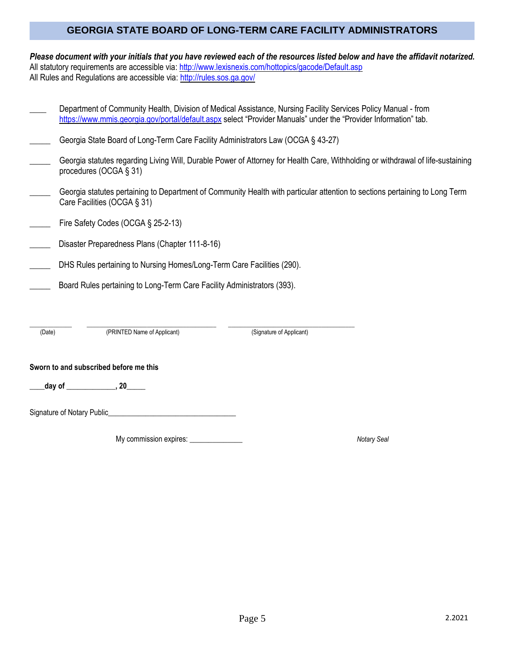*Please document with your initials that you have reviewed each of the resources listed below and have the affidavit notarized.* All statutory requirements are accessible via: <http://www.lexisnexis.com/hottopics/gacode/Default.asp> All Rules and Regulations are accessible via:<http://rules.sos.ga.gov/>

**\_\_\_\_** Department of Community Health, Division of Medical Assistance, Nursing Facility Services Policy Manual - from

|        |                                                                                   | https://www.mmis.georgia.gov/portal/default.aspx select "Provider Manuals" under the "Provider Information" tab.                |  |  |  |  |
|--------|-----------------------------------------------------------------------------------|---------------------------------------------------------------------------------------------------------------------------------|--|--|--|--|
|        | Georgia State Board of Long-Term Care Facility Administrators Law (OCGA § 43-27)  |                                                                                                                                 |  |  |  |  |
|        | procedures (OCGA § 31)                                                            | Georgia statutes regarding Living Will, Durable Power of Attorney for Health Care, Withholding or withdrawal of life-sustaining |  |  |  |  |
|        | Care Facilities (OCGA § 31)                                                       | Georgia statutes pertaining to Department of Community Health with particular attention to sections pertaining to Long Term     |  |  |  |  |
|        | Fire Safety Codes (OCGA § 25-2-13)                                                |                                                                                                                                 |  |  |  |  |
|        | Disaster Preparedness Plans (Chapter 111-8-16)                                    |                                                                                                                                 |  |  |  |  |
|        | DHS Rules pertaining to Nursing Homes/Long-Term Care Facilities (290).            |                                                                                                                                 |  |  |  |  |
|        | Board Rules pertaining to Long-Term Care Facility Administrators (393).           |                                                                                                                                 |  |  |  |  |
|        |                                                                                   |                                                                                                                                 |  |  |  |  |
| (Date) | (PRINTED Name of Applicant)                                                       | (Signature of Applicant)                                                                                                        |  |  |  |  |
|        | Sworn to and subscribed before me this                                            |                                                                                                                                 |  |  |  |  |
|        | day of $\qquad \qquad .20$                                                        |                                                                                                                                 |  |  |  |  |
|        | Signature of Notary Public_<br><u> 1980 - John Stone, Amerikaansk politiker (</u> |                                                                                                                                 |  |  |  |  |
|        | My commission expires:                                                            | <b>Notary Seal</b>                                                                                                              |  |  |  |  |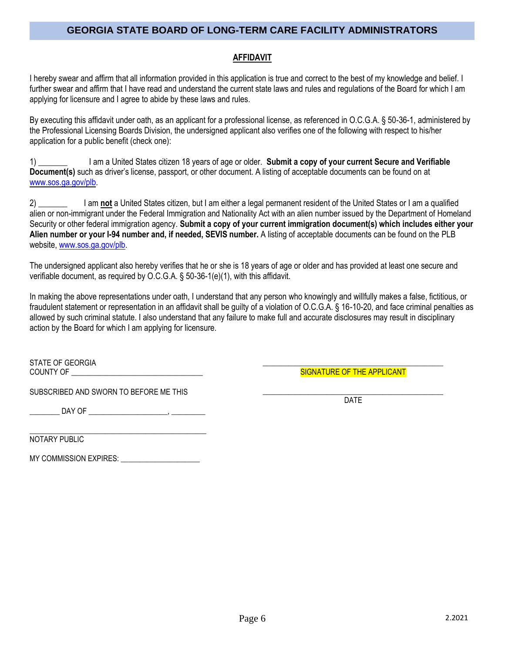#### **AFFIDAVIT**

I hereby swear and affirm that all information provided in this application is true and correct to the best of my knowledge and belief. I further swear and affirm that I have read and understand the current state laws and rules and regulations of the Board for which I am applying for licensure and I agree to abide by these laws and rules.

By executing this affidavit under oath, as an applicant for a professional license, as referenced in O.C.G.A. § 50-36-1, administered by the Professional Licensing Boards Division, the undersigned applicant also verifies one of the following with respect to his/her application for a public benefit (check one):

1) \_\_\_\_\_\_\_ I am a United States citizen 18 years of age or older. **Submit a copy of your current Secure and Verifiable Document(s)** such as driver's license, passport, or other document. A listing of acceptable documents can be found on at [www.sos.ga.gov/plb.](http://www.sos.ga.gov/plb)

2) \_\_\_\_\_\_\_ I am **not** a United States citizen, but I am either a legal permanent resident of the United States or I am a qualified alien or non-immigrant under the Federal Immigration and Nationality Act with an alien number issued by the Department of Homeland Security or other federal immigration agency. **Submit a copy of your current immigration document(s) which includes either your Alien number or your I-94 number and, if needed, SEVIS number.** A listing of acceptable documents can be found on the PLB website[, www.sos.ga.gov/plb.](http://www.sos.ga.gov/plb)

The undersigned applicant also hereby verifies that he or she is 18 years of age or older and has provided at least one secure and verifiable document, as required by O.C.G.A. § 50-36-1(e)(1), with this affidavit.

In making the above representations under oath, I understand that any person who knowingly and willfully makes a false, fictitious, or fraudulent statement or representation in an affidavit shall be guilty of a violation of O.C.G.A. § 16-10-20, and face criminal penalties as allowed by such criminal statute. I also understand that any failure to make full and accurate disclosures may result in disciplinary action by the Board for which I am applying for licensure.

STATE OF GEORGIA COUNTY OF \_\_\_\_\_\_\_\_\_\_\_\_\_\_\_\_\_\_\_\_\_\_\_\_\_\_\_\_\_\_\_\_\_\_\_

SUBSCRIBED AND SWORN TO BEFORE ME THIS

\_\_\_\_\_\_\_\_ DAY OF \_\_\_\_\_\_\_\_\_\_\_\_\_\_\_\_\_\_\_\_\_, \_\_\_\_\_\_\_\_\_

\_\_\_\_\_\_\_\_\_\_\_\_\_\_\_\_\_\_\_\_\_\_\_\_\_\_\_\_\_\_\_\_\_\_\_\_\_\_\_\_\_\_\_\_\_\_\_ NOTARY PUBLIC

MY COMMISSION EXPIRES: \_\_\_\_\_\_\_\_\_\_\_\_\_\_\_\_\_\_\_\_\_

\_\_\_\_\_\_\_\_\_\_\_\_\_\_\_\_\_\_\_\_\_\_\_\_\_\_\_\_\_\_\_\_\_\_\_\_\_\_\_\_\_\_\_\_\_\_\_\_ SIGNATURE OF THE APPLICANT

\_\_\_\_\_\_\_\_\_\_\_\_\_\_\_\_\_\_\_\_\_\_\_\_\_\_\_\_\_\_\_\_\_\_\_\_\_\_\_\_\_\_\_\_\_\_\_\_ DATE